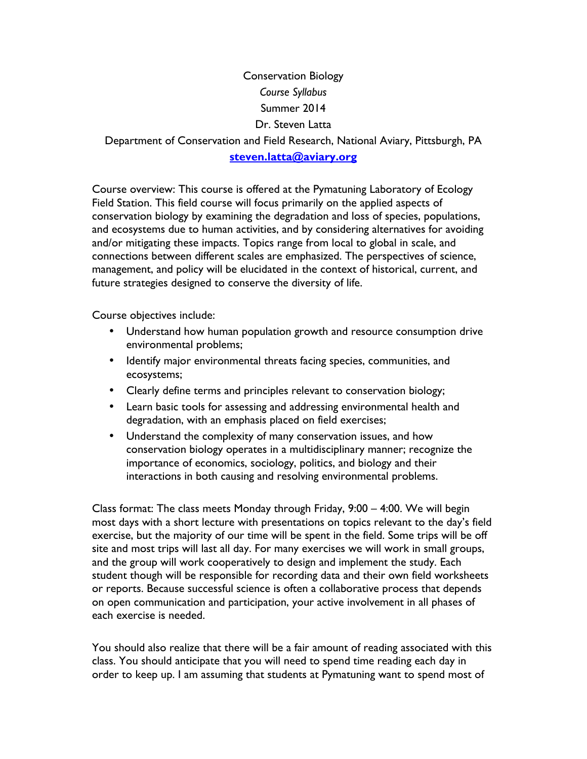## Conservation Biology *Course Syllabus* Summer 2014 Dr. Steven Latta Department of Conservation and Field Research, National Aviary, Pittsburgh, PA **steven.latta@aviary.org**

Course overview: This course is offered at the Pymatuning Laboratory of Ecology Field Station. This field course will focus primarily on the applied aspects of conservation biology by examining the degradation and loss of species, populations, and ecosystems due to human activities, and by considering alternatives for avoiding and/or mitigating these impacts. Topics range from local to global in scale, and connections between different scales are emphasized. The perspectives of science, management, and policy will be elucidated in the context of historical, current, and future strategies designed to conserve the diversity of life.

Course objectives include:

- Understand how human population growth and resource consumption drive environmental problems;
- Identify major environmental threats facing species, communities, and ecosystems;
- Clearly define terms and principles relevant to conservation biology;
- Learn basic tools for assessing and addressing environmental health and degradation, with an emphasis placed on field exercises;
- Understand the complexity of many conservation issues, and how conservation biology operates in a multidisciplinary manner; recognize the importance of economics, sociology, politics, and biology and their interactions in both causing and resolving environmental problems.

Class format: The class meets Monday through Friday, 9:00 – 4:00. We will begin most days with a short lecture with presentations on topics relevant to the day's field exercise, but the majority of our time will be spent in the field. Some trips will be off site and most trips will last all day. For many exercises we will work in small groups, and the group will work cooperatively to design and implement the study. Each student though will be responsible for recording data and their own field worksheets or reports. Because successful science is often a collaborative process that depends on open communication and participation, your active involvement in all phases of each exercise is needed.

You should also realize that there will be a fair amount of reading associated with this class. You should anticipate that you will need to spend time reading each day in order to keep up. I am assuming that students at Pymatuning want to spend most of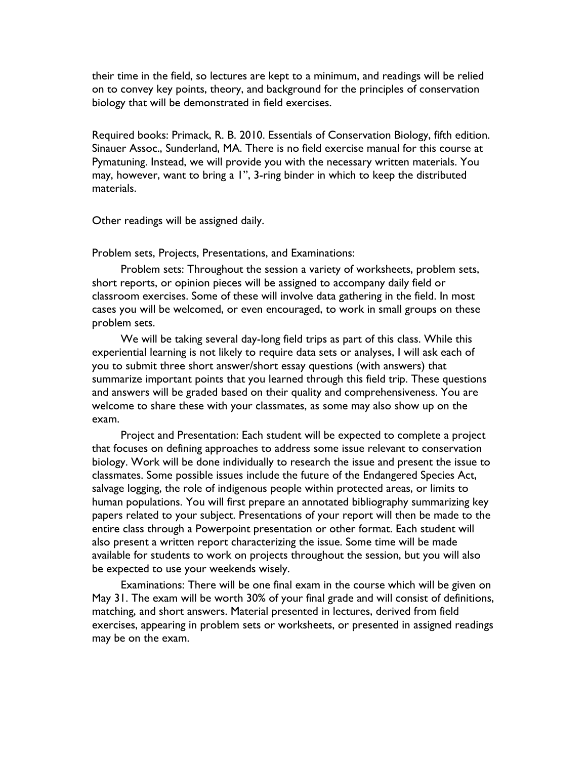their time in the field, so lectures are kept to a minimum, and readings will be relied on to convey key points, theory, and background for the principles of conservation biology that will be demonstrated in field exercises.

Required books: Primack, R. B. 2010. Essentials of Conservation Biology, fifth edition. Sinauer Assoc., Sunderland, MA. There is no field exercise manual for this course at Pymatuning. Instead, we will provide you with the necessary written materials. You may, however, want to bring a 1", 3-ring binder in which to keep the distributed materials.

Other readings will be assigned daily.

Problem sets, Projects, Presentations, and Examinations:

Problem sets: Throughout the session a variety of worksheets, problem sets, short reports, or opinion pieces will be assigned to accompany daily field or classroom exercises. Some of these will involve data gathering in the field. In most cases you will be welcomed, or even encouraged, to work in small groups on these problem sets.

We will be taking several day-long field trips as part of this class. While this experiential learning is not likely to require data sets or analyses, I will ask each of you to submit three short answer/short essay questions (with answers) that summarize important points that you learned through this field trip. These questions and answers will be graded based on their quality and comprehensiveness. You are welcome to share these with your classmates, as some may also show up on the exam.

Project and Presentation: Each student will be expected to complete a project that focuses on defining approaches to address some issue relevant to conservation biology. Work will be done individually to research the issue and present the issue to classmates. Some possible issues include the future of the Endangered Species Act, salvage logging, the role of indigenous people within protected areas, or limits to human populations. You will first prepare an annotated bibliography summarizing key papers related to your subject. Presentations of your report will then be made to the entire class through a Powerpoint presentation or other format. Each student will also present a written report characterizing the issue. Some time will be made available for students to work on projects throughout the session, but you will also be expected to use your weekends wisely.

Examinations: There will be one final exam in the course which will be given on May 31. The exam will be worth 30% of your final grade and will consist of definitions, matching, and short answers. Material presented in lectures, derived from field exercises, appearing in problem sets or worksheets, or presented in assigned readings may be on the exam.